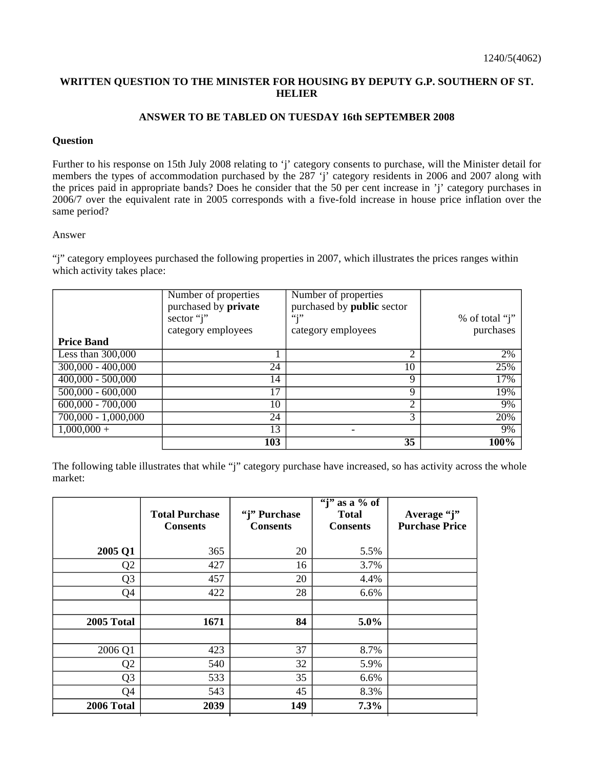## **WRITTEN QUESTION TO THE MINISTER FOR HOUSING BY DEPUTY G.P. SOUTHERN OF ST. HELIER**

## **ANSWER TO BE TABLED ON TUESDAY 16th SEPTEMBER 2008**

## **Question**

Further to his response on 15th July 2008 relating to 'j' category consents to purchase, will the Minister detail for members the types of accommodation purchased by the 287 'j' category residents in 2006 and 2007 along with the prices paid in appropriate bands? Does he consider that the 50 per cent increase in 'j' category purchases in 2006/7 over the equivalent rate in 2005 corresponds with a five-fold increase in house price inflation over the same period?

## Answer

"j" category employees purchased the following properties in 2007, which illustrates the prices ranges within which activity takes place:

|                                | Number of properties<br>purchased by private<br>sector "j"<br>category employees | Number of properties<br>purchased by public sector<br>66:99<br>category employees | $%$ of total "j"<br>purchases |
|--------------------------------|----------------------------------------------------------------------------------|-----------------------------------------------------------------------------------|-------------------------------|
| <b>Price Band</b>              |                                                                                  |                                                                                   |                               |
| Less than $300,000$            |                                                                                  | າ                                                                                 | 2%                            |
| $300,000 - 400,000$            | 24                                                                               | 10                                                                                | 25%                           |
| $400,000 - 500,000$            | 14                                                                               | 9                                                                                 | 17%                           |
| $\overline{500,}000 - 600,000$ | 17                                                                               | 9                                                                                 | 19%                           |
| $600,000 - 700,000$            | 10                                                                               | 2                                                                                 | 9%                            |
| $700,000 - 1,000,000$          | 24                                                                               | 3                                                                                 | 20%                           |
| $1,000,000 +$                  | 13                                                                               |                                                                                   | 9%                            |
|                                | 103                                                                              | $\overline{35}$                                                                   | 100%                          |

The following table illustrates that while "j" category purchase have increased, so has activity across the whole market:

|                | <b>Total Purchase</b><br><b>Consents</b> | "j" Purchase<br><b>Consents</b> | $\overline{``j''}$<br>as a % of<br><b>Total</b><br><b>Consents</b> | Average "j"<br><b>Purchase Price</b> |
|----------------|------------------------------------------|---------------------------------|--------------------------------------------------------------------|--------------------------------------|
| 2005 Q1        | 365                                      | 20                              | 5.5%                                                               |                                      |
| Q <sub>2</sub> | 427                                      | 16                              | 3.7%                                                               |                                      |
| Q <sub>3</sub> | 457                                      | 20                              | 4.4%                                                               |                                      |
| Q4             | 422                                      | 28                              | 6.6%                                                               |                                      |
|                |                                          |                                 |                                                                    |                                      |
| 2005 Total     | 1671                                     | 84                              | $5.0\%$                                                            |                                      |
|                |                                          |                                 |                                                                    |                                      |
| 2006 Q1        | 423                                      | 37                              | 8.7%                                                               |                                      |
| Q <sub>2</sub> | 540                                      | 32                              | 5.9%                                                               |                                      |
| Q <sub>3</sub> | 533                                      | 35                              | 6.6%                                                               |                                      |
| Q4             | 543                                      | 45                              | 8.3%                                                               |                                      |
| 2006 Total     | 2039                                     | 149                             | 7.3%                                                               |                                      |